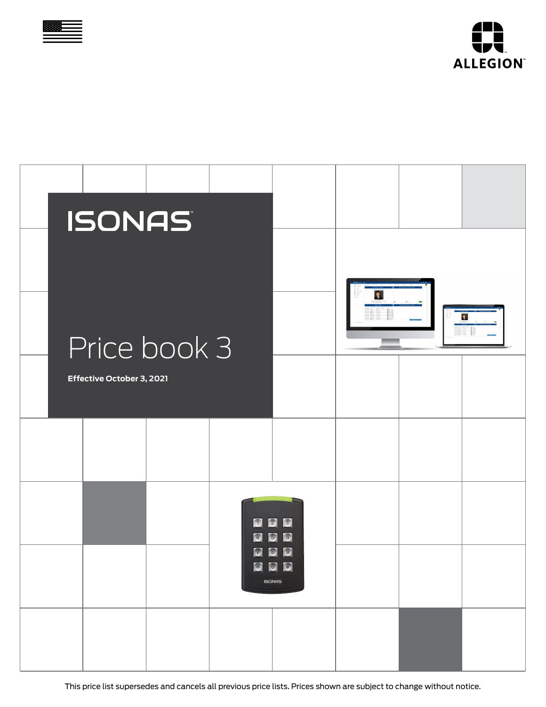



| <b>ISONAS</b>             |              |                                           |                                                      |           |                    |
|---------------------------|--------------|-------------------------------------------|------------------------------------------------------|-----------|--------------------|
|                           |              |                                           |                                                      | $\bullet$ |                    |
|                           | Price book 3 |                                           |                                                      |           | $\hat{\mathbf{x}}$ |
| Effective October 3, 2021 |              |                                           |                                                      |           |                    |
|                           |              |                                           |                                                      |           |                    |
|                           |              | $\bigcap$<br>$\left( \frac{1}{4} \right)$ | 3<br>$\boxed{2}$<br>5 <sup>o</sup><br>$6^{\circ}$    |           |                    |
|                           |              | $\bigcirc$                                | $\circ$<br>$\left( 9\right)$<br>800<br><b>ISONAS</b> |           |                    |
|                           |              |                                           |                                                      |           |                    |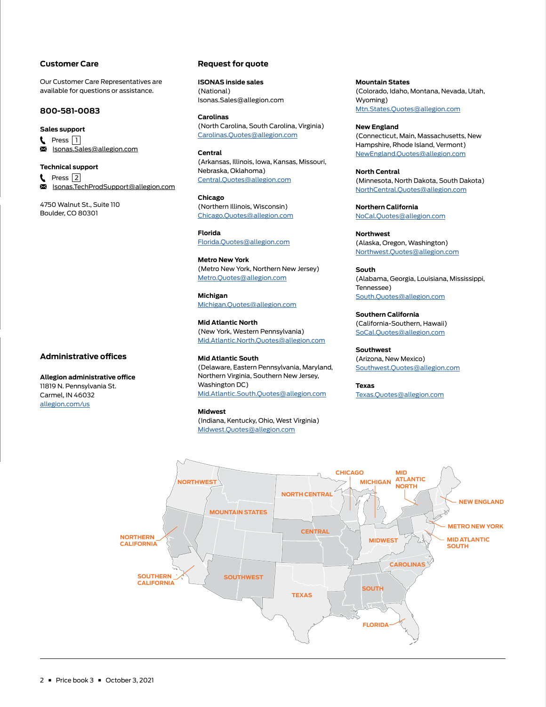#### **Customer Care**

Our Customer Care Representatives are available for questions or assistance.

#### **800-581-0083**

#### **Sales support**

**t** Press  $\boxed{1}$  $\overline{\mathbf{M}}$ [Isonas.Sales@allegion.com](mailto:Isonas.Sales%40allegion.com?subject=)

#### **Technical support**

L Press  $\boxed{2}$ ≅ [Isonas.TechProdSupport@allegion.com](mailto:Isonas.TechProdSupport%40allegion.com?subject=)

4750 Walnut St., Suite 110 Boulder, CO 80301

## **Administrative offices**

**Allegion administrative office** 11819 N. Pennsylvania St.

Carmel, IN 46032 [allegion.com/us](http://allegion.com/us)

### **Request for quote**

**ISONAS inside sales** (National) Isonas.Sales@allegion.com

**Carolinas**  (North Carolina, South Carolina, Virginia) [Carolinas.Quotes@allegion.com](mailto:Carolinas.Quotes%40allegion.com?subject=)

**Central**  (Arkansas, Illinois, Iowa, Kansas, Missouri, Nebraska, Oklahoma) [Central.Quotes@allegion.com](mailto:Central.Quotes%40allegion.com?subject=)

**Chicago**  (Northern Illinois, Wisconsin) [Chicago.Quotes@allegion.com](mailto:Chicago.Quotes%40allegion.com?subject=)

**Florida** [Florida.Quotes@allegion.com](mailto:Florida.Quotes%40allegion.com?subject=)

**Metro New York** (Metro New York, Northern New Jersey) [Metro.Quotes@allegion.com](mailto:Metro.Quotes%40allegion.com?subject=)

**Michigan** [Michigan.Quotes@allegion.com](mailto:Michigan.Quotes%40allegion.com?subject=)

**Mid Atlantic North** (New York, Western Pennsylvania) [Mid.Atlantic.North.Quotes@allegion.com](mailto:Mid.Atlantic.North.Quotes%40allegion.com?subject=)

#### **Mid Atlantic South**

(Delaware, Eastern Pennsylvania, Maryland, Northern Virginia, Southern New Jersey, Washington DC) [Mid.Atlantic.South.Quotes@allegion.com](mailto:Mid.Atlantic.South.Quotes%40allegion.com?subject=)

#### **Midwest**

(Indiana, Kentucky, Ohio, West Virginia) [Midwest.Quotes@allegion.com](mailto:Midwest.Quotes%40allegion.com?subject=)

**Mountain States**  (Colorado, Idaho, Montana, Nevada, Utah, Wyoming) [Mtn.States.Quotes@allegion.com](mailto:Mtn.States.Quotes%40allegion.com?subject=)

**New England**  (Connecticut, Main, Massachusetts, New Hampshire, Rhode Island, Vermont) [NewEngland.Quotes@allegion.com](mailto:NewEngland.Quotes%40allegion.com?subject=)

**North Central**  (Minnesota, North Dakota, South Dakota) [NorthCentral.Quotes@allegion.com](mailto:NorthCentral.Quotes%40allegion.com?subject=)

**Northern California** [NoCal.Quotes@allegion.com](mailto:NoCal.Quotes%40allegion.com?subject=)

**Northwest**  (Alaska, Oregon, Washington) [Northwest.Quotes@allegion.com](mailto:Northwest.Quotes%40allegion.com?subject=)

**South**  (Alabama, Georgia, Louisiana, Mississippi, Tennessee) [South.Quotes@allegion.com](mailto:South.Quotes%40allegion.com?subject=)

**Southern California**  (California-Southern, Hawaii) [SoCal.Quotes@allegion.com](mailto:SoCal.Quotes%40allegion.com?subject=)

**Southwest**  (Arizona, New Mexico) [Southwest.Quotes@allegion.com](mailto:Southwest.Quotes%40allegion.com?subject=)

**Texas** [Texas.Quotes@allegion.com](mailto:Texas.Quotes%40allegion.com?subject=)

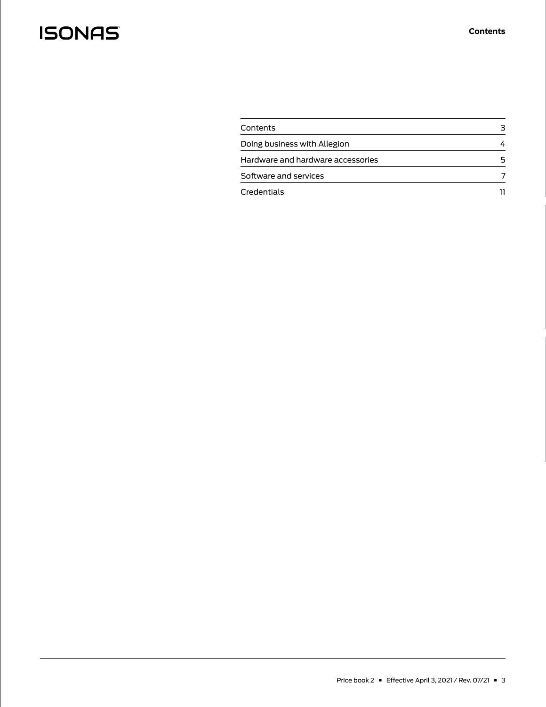| Contents                          |  |
|-----------------------------------|--|
| Doing business with Allegion      |  |
| Hardware and hardware accessories |  |
| Software and services             |  |
| Credentials                       |  |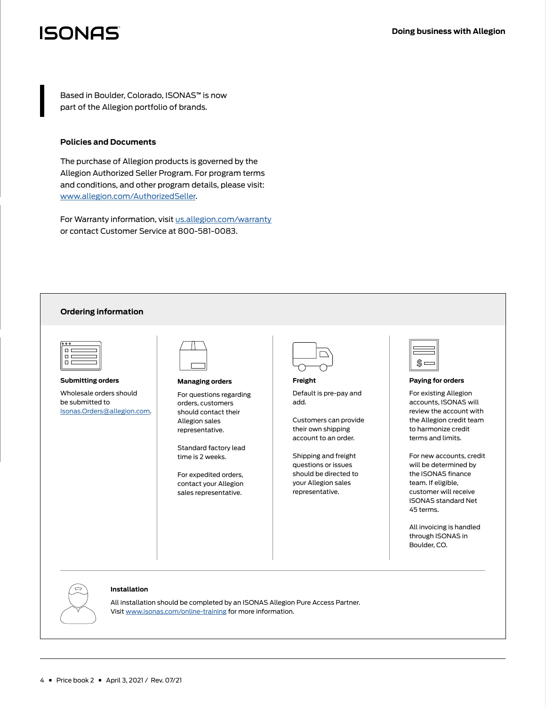<span id="page-3-0"></span>Based in Boulder, Colorado, ISONAS**™** is now part of the Allegion portfolio of brands.

#### **Policies and Documents**

4 Price book 2 April 3, 2021 / Rev. 07/21

The purchase of Allegion products is governed by the Allegion Authorized Seller Program. For program terms and conditions, and other program details, please visit: [www.allegion.com/AuthorizedSeller](http://www.allegion.com/AuthorizedSeller).

For Warranty information, visit [us.allegion.com/warranty](http://us.allegion.com/warranty) or contact Customer Service at 800-581-0083.

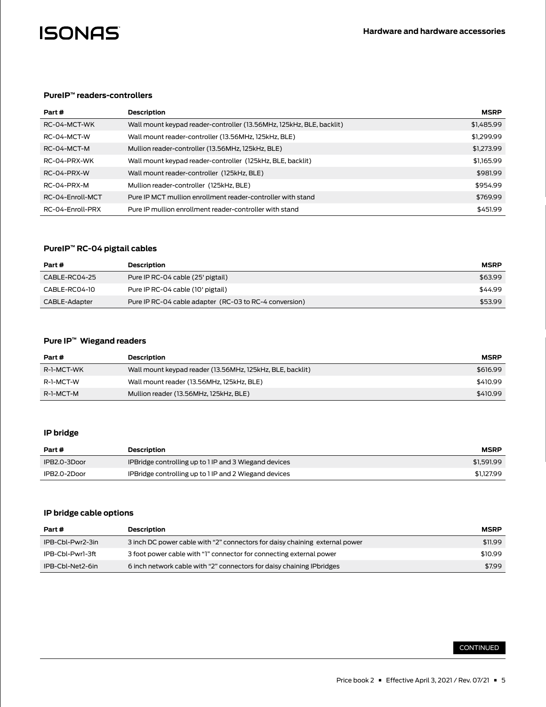<span id="page-4-0"></span>

## **PureIP™ readers-controllers**

| Part #           | <b>Description</b>                                                   | <b>MSRP</b> |
|------------------|----------------------------------------------------------------------|-------------|
| RC-04-MCT-WK     | Wall mount keypad reader-controller (13.56MHz, 125kHz, BLE, backlit) | \$1,485.99  |
| RC-04-MCT-W      | Wall mount reader-controller (13.56MHz, 125kHz, BLE)                 | \$1,299.99  |
| RC-04-MCT-M      | Mullion reader-controller (13.56MHz, 125kHz, BLE)                    | \$1,273,99  |
| RC-04-PRX-WK     | Wall mount keypad reader-controller (125kHz, BLE, backlit)           | \$1,165.99  |
| RC-04-PRX-W      | Wall mount reader-controller (125kHz, BLE)                           | \$981.99    |
| RC-04-PRX-M      | Mullion reader-controller (125kHz, BLE)                              | \$954.99    |
| RC-04-Enroll-MCT | Pure IP MCT mullion enrollment reader-controller with stand          | \$769.99    |
| RC-04-Enroll-PRX | Pure IP mullion enrollment reader-controller with stand              | \$451.99    |

### **PureIP™ RC-04 pigtail cables**

| Part#         | Description                                            | <b>MSRP</b> |
|---------------|--------------------------------------------------------|-------------|
| CABLE-RC04-25 | Pure IP RC-04 cable (25' pigtail)                      | \$63.99     |
| CABLE-RC04-10 | Pure IP RC-04 cable (10' pigtail)                      | \$44.99     |
| CABLE-Adapter | Pure IP RC-04 cable adapter (RC-03 to RC-4 conversion) | \$53.99     |

## **Pure IP™ Wiegand readers**

| Part #     | <b>Description</b>                                        | <b>MSRP</b> |
|------------|-----------------------------------------------------------|-------------|
| R-1-MCT-WK | Wall mount keypad reader (13.56MHz, 125kHz, BLE, backlit) | \$616.99    |
| R-1-MCT-W  | Wall mount reader (13.56MHz, 125kHz, BLE)                 | \$410.99    |
| R-1-MCT-M  | Mullion reader (13.56MHz, 125kHz, BLE)                    | \$410.99    |

## **IP bridge**

| Part #       | Description                                           | <b>MSRP</b> |
|--------------|-------------------------------------------------------|-------------|
| IPB2.0-3Door | IPBridge controlling up to 1 IP and 3 Wiegand devices | \$1,591.99  |
| IPB2.0-2Door | IPBridge controlling up to 1 IP and 2 Wiegand devices | \$1.127.99  |

# **IP bridge cable options**

| Part #           | Description                                                                 | <b>MSRP</b> |
|------------------|-----------------------------------------------------------------------------|-------------|
| IPB-Cbl-Pwr2-3in | 3 inch DC power cable with "2" connectors for daisy chaining external power | \$11.99     |
| IPB-Cbl-Pwr1-3ft | 3 foot power cable with "1" connector for connecting external power         | \$10.99     |
| IPB-Cbl-Net2-6in | 6 inch network cable with "2" connectors for daisy chaining IP bridges      | \$7.99      |

## CONTINUED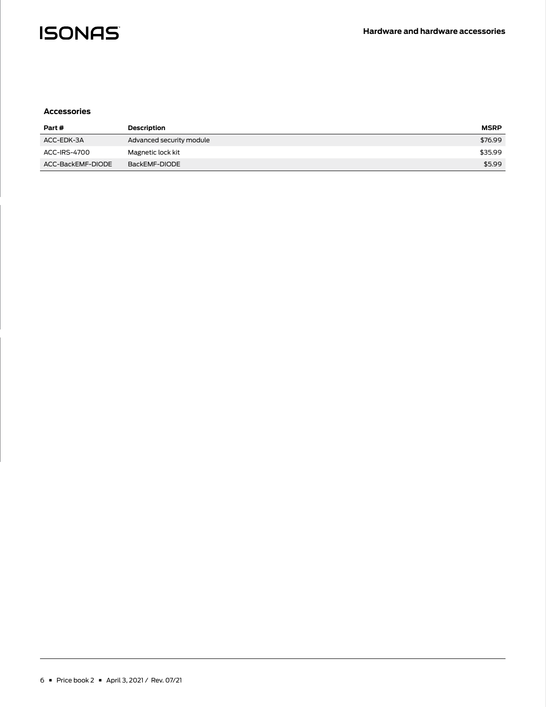

#### **Accessories**

| Part#             | <b>Description</b>       | <b>MSRP</b> |
|-------------------|--------------------------|-------------|
| ACC-EDK-3A        | Advanced security module | \$76.99     |
| ACC-IRS-4700      | Magnetic lock kit        | \$35.99     |
| ACC-BackEMF-DIODE | BackEMF-DIODE            | \$5.99      |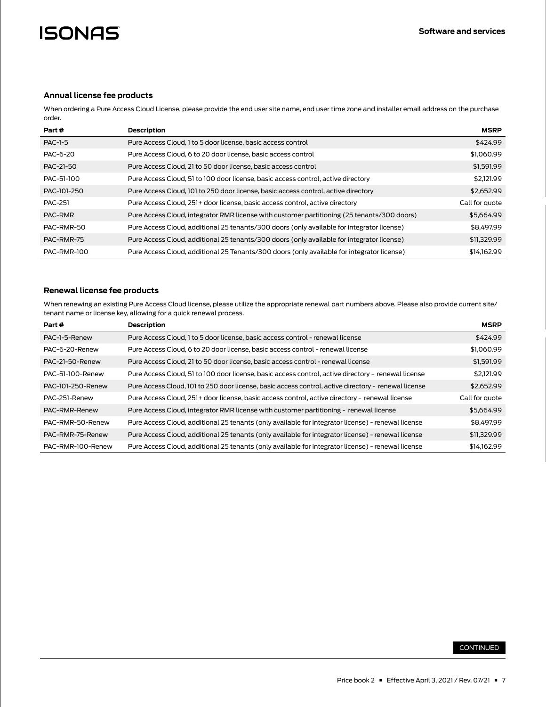### <span id="page-6-0"></span>**Annual license fee products**

When ordering a Pure Access Cloud License, please provide the end user site name, end user time zone and installer email address on the purchase order.

| Part #         | <b>Description</b>                                                                          | <b>MSRP</b>    |
|----------------|---------------------------------------------------------------------------------------------|----------------|
| <b>PAC-1-5</b> | Pure Access Cloud, 1 to 5 door license, basic access control                                | \$424.99       |
| PAC-6-20       | Pure Access Cloud, 6 to 20 door license, basic access control                               | \$1,060.99     |
| PAC-21-50      | Pure Access Cloud, 21 to 50 door license, basic access control                              | \$1,591.99     |
| PAC-51-100     | Pure Access Cloud, 51 to 100 door license, basic access control, active directory           | \$2.121.99     |
| PAC-101-250    | Pure Access Cloud, 101 to 250 door license, basic access control, active directory          | \$2,652.99     |
| <b>PAC-251</b> | Pure Access Cloud, 251+ door license, basic access control, active directory                | Call for quote |
| PAC-RMR        | Pure Access Cloud, integrator RMR license with customer partitioning (25 tenants/300 doors) | \$5,664.99     |
| PAC-RMR-50     | Pure Access Cloud, additional 25 tenants/300 doors (only available for integrator license)  | \$8,497.99     |
| PAC-RMR-75     | Pure Access Cloud, additional 25 tenants/300 doors (only available for integrator license)  | \$11,329.99    |
| PAC-RMR-100    | Pure Access Cloud, additional 25 Tenants/300 doors (only available for integrator license)  | \$14,162,99    |

### **Renewal license fee products**

When renewing an existing Pure Access Cloud license, please utilize the appropriate renewal part numbers above. Please also provide current site/ tenant name or license key, allowing for a quick renewal process.

| Part #            | <b>Description</b>                                                                                   | <b>MSRP</b>    |
|-------------------|------------------------------------------------------------------------------------------------------|----------------|
| PAC-1-5-Renew     | Pure Access Cloud, 1 to 5 door license, basic access control - renewal license                       | \$424.99       |
| PAC-6-20-Renew    | Pure Access Cloud, 6 to 20 door license, basic access control - renewal license                      | \$1,060.99     |
| PAC-21-50-Renew   | Pure Access Cloud, 21 to 50 door license, basic access control - renewal license                     | \$1,591.99     |
| PAC-51-100-Renew  | Pure Access Cloud, 51 to 100 door license, basic access control, active directory - renewal license  | \$2.121.99     |
| PAC-101-250-Renew | Pure Access Cloud, 101 to 250 door license, basic access control, active directory - renewal license | \$2,652.99     |
| PAC-251-Renew     | Pure Access Cloud, 251+ door license, basic access control, active directory - renewal license       | Call for quote |
| PAC-RMR-Renew     | Pure Access Cloud, integrator RMR license with customer partitioning - renewal license               | \$5,664.99     |
| PAC-RMR-50-Renew  | Pure Access Cloud, additional 25 tenants (only available for integrator license) - renewal license   | \$8,497.99     |
| PAC-RMR-75-Renew  | Pure Access Cloud, additional 25 tenants (only available for integrator license) - renewal license   | \$11,329.99    |
| PAC-RMR-100-Renew | Pure Access Cloud, additional 25 tenants (only available for integrator license) - renewal license   | \$14,162.99    |

### CONTINUED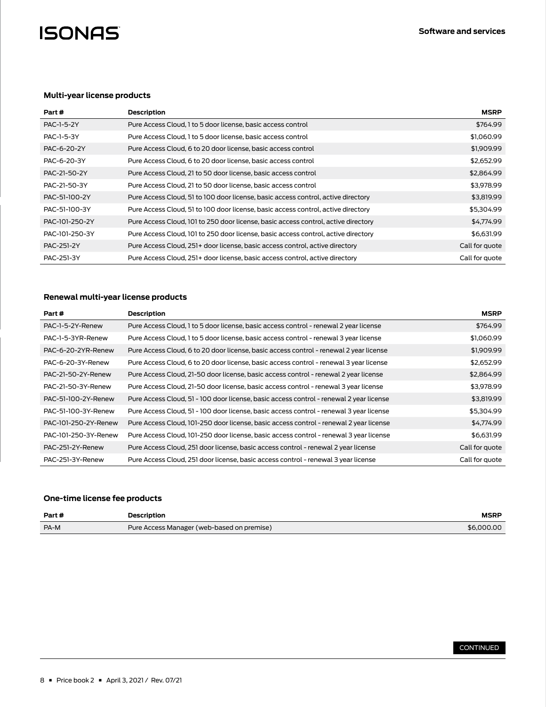## **Multi-year license products**

| Part #         | <b>Description</b>                                                                 | <b>MSRP</b>    |
|----------------|------------------------------------------------------------------------------------|----------------|
| PAC-1-5-2Y     | Pure Access Cloud, 1 to 5 door license, basic access control                       | \$764.99       |
| PAC-1-5-3Y     | Pure Access Cloud, 1 to 5 door license, basic access control                       | \$1,060.99     |
| PAC-6-20-2Y    | Pure Access Cloud, 6 to 20 door license, basic access control                      | \$1,909.99     |
| PAC-6-20-3Y    | Pure Access Cloud, 6 to 20 door license, basic access control                      | \$2,652.99     |
| PAC-21-50-2Y   | Pure Access Cloud, 21 to 50 door license, basic access control                     | \$2,864.99     |
| PAC-21-50-3Y   | Pure Access Cloud, 21 to 50 door license, basic access control                     | \$3,978.99     |
| PAC-51-100-2Y  | Pure Access Cloud, 51 to 100 door license, basic access control, active directory  | \$3,819.99     |
| PAC-51-100-3Y  | Pure Access Cloud, 51 to 100 door license, basic access control, active directory  | \$5,304.99     |
| PAC-101-250-2Y | Pure Access Cloud, 101 to 250 door license, basic access control, active directory | \$4,774.99     |
| PAC-101-250-3Y | Pure Access Cloud, 101 to 250 door license, basic access control, active directory | \$6,631.99     |
| PAC-251-2Y     | Pure Access Cloud, 251+ door license, basic access control, active directory       | Call for quote |
| PAC-251-3Y     | Pure Access Cloud, 251+ door license, basic access control, active directory       | Call for guote |

## **Renewal multi-year license products**

| Part#                | Description                                                                             | <b>MSRP</b>    |
|----------------------|-----------------------------------------------------------------------------------------|----------------|
| PAC-1-5-2Y-Renew     | Pure Access Cloud, 1 to 5 door license, basic access control - renewal 2 year license   | \$764.99       |
| PAC-1-5-3YR-Renew    | Pure Access Cloud, 1 to 5 door license, basic access control - renewal 3 year license   | \$1,060.99     |
| PAC-6-20-2YR-Renew   | Pure Access Cloud, 6 to 20 door license, basic access control - renewal 2 year license  | \$1,909.99     |
| PAC-6-20-3Y-Renew    | Pure Access Cloud, 6 to 20 door license, basic access control - renewal 3 year license  | \$2,652.99     |
| PAC-21-50-2Y-Renew   | Pure Access Cloud, 21-50 door license, basic access control - renewal 2 year license    | \$2,864.99     |
| PAC-21-50-3Y-Renew   | Pure Access Cloud, 21-50 door license, basic access control - renewal 3 year license    | \$3,978.99     |
| PAC-51-100-2Y-Renew  | Pure Access Cloud, 51 - 100 door license, basic access control - renewal 2 year license | \$3,819.99     |
| PAC-51-100-3Y-Renew  | Pure Access Cloud, 51 - 100 door license, basic access control - renewal 3 year license | \$5,304.99     |
| PAC-101-250-2Y-Renew | Pure Access Cloud, 101-250 door license, basic access control - renewal 2 year license  | \$4,774.99     |
| PAC-101-250-3Y-Renew | Pure Access Cloud, 101-250 door license, basic access control - renewal 3 year license  | \$6,631.99     |
| PAC-251-2Y-Renew     | Pure Access Cloud, 251 door license, basic access control - renewal 2 year license      | Call for quote |
| PAC-251-3Y-Renew     | Pure Access Cloud, 251 door license, basic access control - renewal 3 year license      | Call for quote |

## **One-time license fee products**

| Part # | <b>Description</b>                         | <b>MSRP</b> |
|--------|--------------------------------------------|-------------|
| PA-M   | Pure Access Manager (web-based on premise) | \$6,000,00  |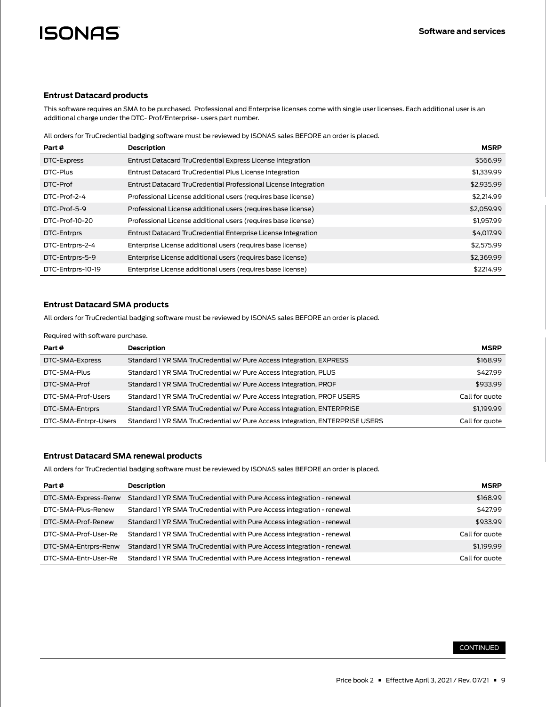#### **Entrust Datacard products**

This software requires an SMA to be purchased. Professional and Enterprise licenses come with single user licenses. Each additional user is an additional charge under the DTC- Prof/Enterprise- users part number.

All orders for TruCredential badging software must be reviewed by ISONAS sales BEFORE an order is placed.

| Part #            | <b>Description</b>                                              | <b>MSRP</b> |
|-------------------|-----------------------------------------------------------------|-------------|
| DTC-Express       | Entrust Datacard TruCredential Express License Integration      | \$566.99    |
| DTC-Plus          | Entrust Datacard TruCredential Plus License Integration         | \$1,339.99  |
| DTC-Prof          | Entrust Datacard TruCredential Professional License Integration | \$2,935.99  |
| DTC-Prof-2-4      | Professional License additional users (requires base license)   | \$2,214.99  |
| DTC-Prof-5-9      | Professional License additional users (requires base license)   | \$2,059.99  |
| DTC-Prof-10-20    | Professional License additional users (requires base license)   | \$1,957.99  |
| DTC-Entrprs       | Entrust Datacard TruCredential Enterprise License Integration   | \$4,017.99  |
| DTC-Entrprs-2-4   | Enterprise License additional users (requires base license)     | \$2,575.99  |
| DTC-Entrprs-5-9   | Enterprise License additional users (requires base license)     | \$2,369.99  |
| DTC-Entrprs-10-19 | Enterprise License additional users (requires base license)     | \$2214.99   |

## **Entrust Datacard SMA products**

All orders for TruCredential badging software must be reviewed by ISONAS sales BEFORE an order is placed.

#### Required with software purchase.

| Part #               | Description                                                                  | <b>MSRP</b>    |
|----------------------|------------------------------------------------------------------------------|----------------|
| DTC-SMA-Express      | Standard 1 YR SMA TruCredential w/ Pure Access Integration, EXPRESS          | \$168.99       |
| DTC-SMA-Plus         | Standard 1 YR SMA TruCredential w/ Pure Access Integration, PLUS             | \$427.99       |
| DTC-SMA-Prof         | Standard 1 YR SMA TruCredential w/ Pure Access Integration, PROF             | \$933.99       |
| DTC-SMA-Prof-Users   | Standard 1 YR SMA TruCredential w/ Pure Access Integration, PROF USERS       | Call for quote |
| DTC-SMA-Entrprs      | Standard 1 YR SMA TruCredential w/ Pure Access Integration, ENTERPRISE       | \$1,199.99     |
| DTC-SMA-Entrpr-Users | Standard 1 YR SMA TruCredential w/ Pure Access Integration, ENTERPRISE USERS | Call for quote |

### **Entrust Datacard SMA renewal products**

All orders for TruCredential badging software must be reviewed by ISONAS sales BEFORE an order is placed.

| Part #               | Description                                                            | <b>MSRP</b>    |
|----------------------|------------------------------------------------------------------------|----------------|
| DTC-SMA-Express-Renw | Standard 1 YR SMA TruCredential with Pure Access integration - renewal | \$168.99       |
| DTC-SMA-Plus-Renew   | Standard 1 YR SMA TruCredential with Pure Access integration - renewal | \$427.99       |
| DTC-SMA-Prof-Renew   | Standard 1 YR SMA TruCredential with Pure Access integration - renewal | \$933.99       |
| DTC-SMA-Prof-User-Re | Standard 1 YR SMA TruCredential with Pure Access integration - renewal | Call for quote |
| DTC-SMA-Entrprs-Renw | Standard 1 YR SMA TruCredential with Pure Access integration - renewal | \$1,199.99     |
| DTC-SMA-Entr-User-Re | Standard 1 YR SMA TruCredential with Pure Access integration - renewal | Call for quote |

### CONTINUED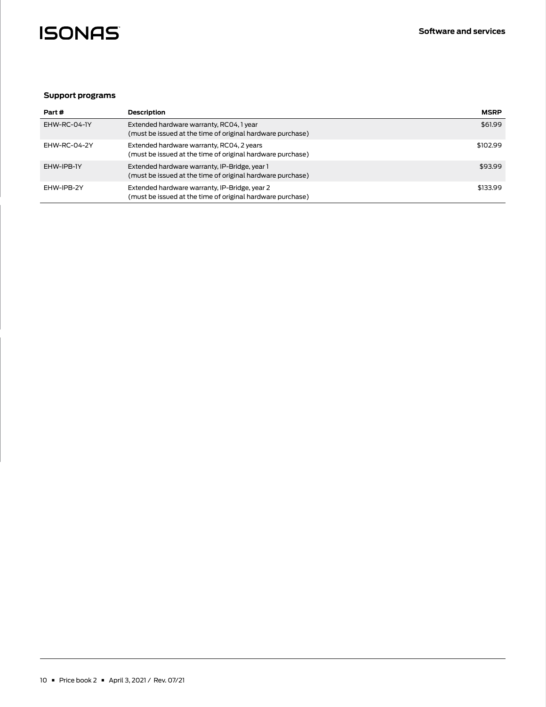

## **Support programs**

| Part#        | Description                                                                                                 | <b>MSRP</b> |
|--------------|-------------------------------------------------------------------------------------------------------------|-------------|
| EHW-RC-04-IY | Extended hardware warranty, RC04, 1 year<br>(must be issued at the time of original hardware purchase)      | \$61.99     |
| FHW-RC-04-2Y | Extended hardware warranty, RC04, 2 years<br>(must be issued at the time of original hardware purchase)     | \$102.99    |
| FHW-IPB-1Y   | Extended hardware warranty, IP-Bridge, year 1<br>(must be issued at the time of original hardware purchase) | \$93.99     |
| FHW-IPB-2Y   | Extended hardware warranty, IP-Bridge, year 2<br>(must be issued at the time of original hardware purchase) | \$133.99    |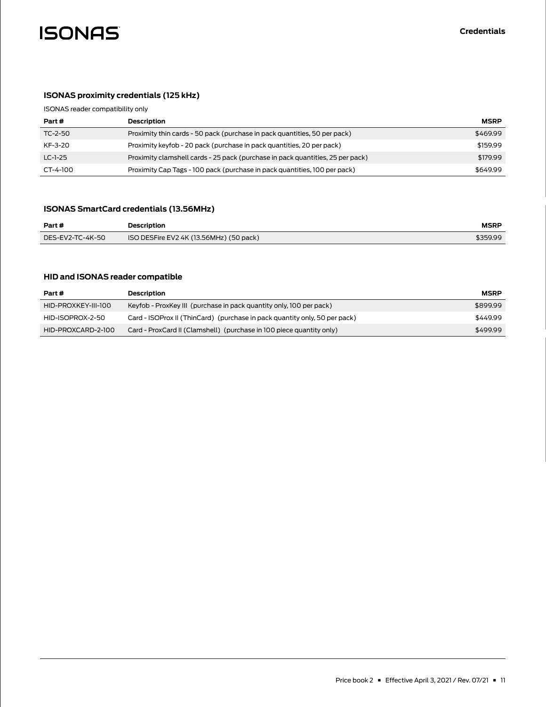<span id="page-10-0"></span>

# **ISONAS proximity credentials (125 kHz)**

ISONAS reader compatibility only

| Part #    | Description                                                                    | <b>MSRP</b> |
|-----------|--------------------------------------------------------------------------------|-------------|
| TC-2-50   | Proximity thin cards - 50 pack (purchase in pack quantities, 50 per pack)      | \$469.99    |
| KF-3-20   | Proximity keyfob - 20 pack (purchase in pack quantities, 20 per pack)          | \$159.99    |
| $LC-1-25$ | Proximity clamshell cards - 25 pack (purchase in pack quantities, 25 per pack) | \$179.99    |
| CT-4-100  | Proximity Cap Tags - 100 pack (purchase in pack quantities, 100 per pack)      | \$649.99    |

## **ISONAS SmartCard credentials (13.56MHz)**

| Part #           | <b>Description</b>                      | <b>MSRP</b> |
|------------------|-----------------------------------------|-------------|
| DES-EV2-TC-4K-50 | ISO DESFire EV2 4K (13.56MHz) (50 pack) | \$359.99    |

## **HID and ISONAS reader compatible**

| Part #              | Description                                                                | <b>MSRP</b> |
|---------------------|----------------------------------------------------------------------------|-------------|
| HID-PROXKEY-III-100 | Keyfob - ProxKey III (purchase in pack quantity only, 100 per pack)        | \$899.99    |
| HID-ISOPROX-2-50    | Card - ISOProx II (ThinCard) (purchase in pack quantity only, 50 per pack) | \$449.99    |
| HID-PROXCARD-2-100  | Card - ProxCard II (Clamshell) (purchase in 100 piece quantity only)       | \$499.99    |